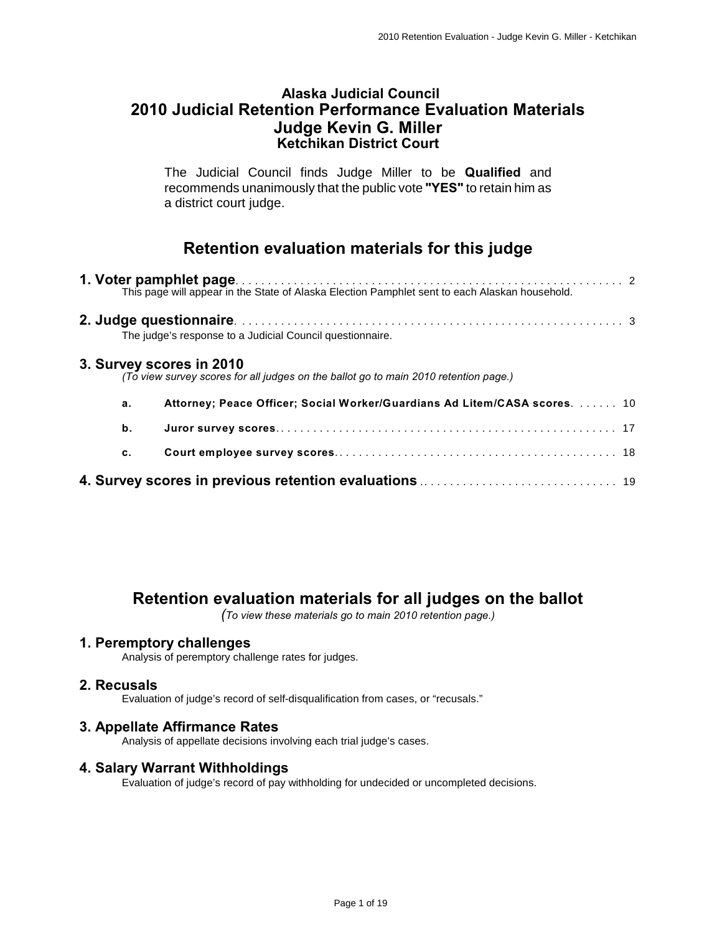### **Alaska Judicial Council 2010 Judicial Retention Performance Evaluation Materials Judge Kevin G. Miller Ketchikan District Court**

The Judicial Council finds Judge Miller to be **Qualified** and recommends unanimously that the public vote **"YES"** to retain him as a district court judge.

# **Retention evaluation materials for this judge**

|    | The judge's response to a Judicial Council questionnaire.                                                        |  |
|----|------------------------------------------------------------------------------------------------------------------|--|
|    | 3. Survey scores in 2010<br>(To view survey scores for all judges on the ballot go to main 2010 retention page.) |  |
| a. | Attorney; Peace Officer; Social Worker/Guardians Ad Litem/CASA scores.  10                                       |  |
| b. |                                                                                                                  |  |
| c. |                                                                                                                  |  |
|    |                                                                                                                  |  |

# **Retention evaluation materials for all judges on the ballot**

*(To view these materials go to main 2010 retention page.)*

### **1. Peremptory challenges**

Analysis of peremptory challenge rates for judges.

### **2. Recusals**

Evaluation of judge's record of self-disqualification from cases, or "recusals."

### **3. Appellate Affirmance Rates**

Analysis of appellate decisions involving each trial judge's cases.

#### **4. Salary Warrant Withholdings**

Evaluation of judge's record of pay withholding for undecided or uncompleted decisions.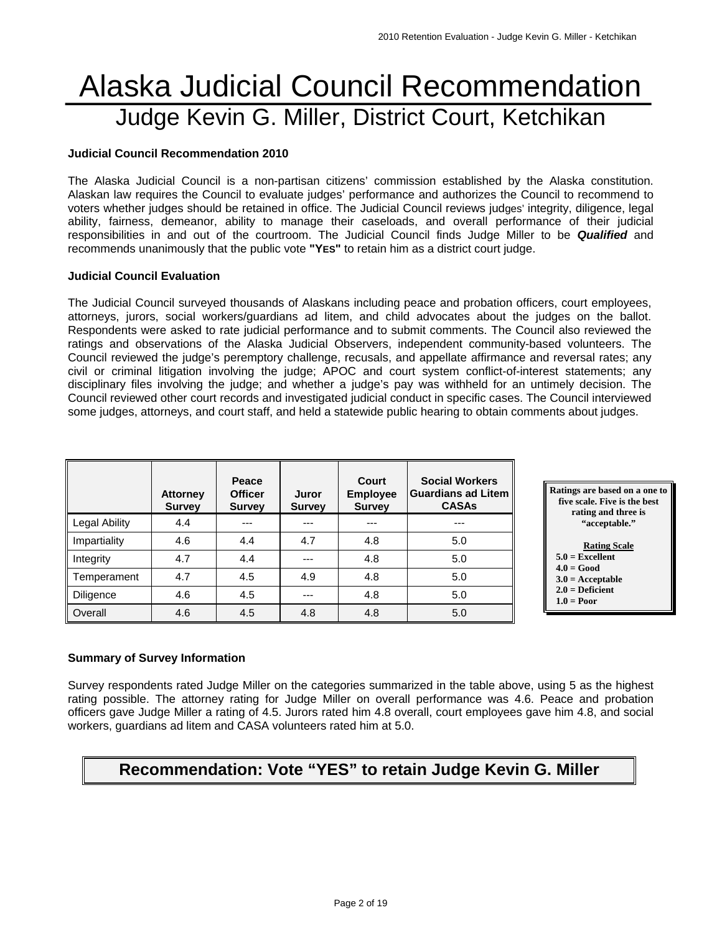# Alaska Judicial Council Recommendation Judge Kevin G. Miller, District Court, Ketchikan

#### **Judicial Council Recommendation 2010**

The Alaska Judicial Council is a non-partisan citizens' commission established by the Alaska constitution. Alaskan law requires the Council to evaluate judges' performance and authorizes the Council to recommend to voters whether judges should be retained in office. The Judicial Council reviews judges' integrity, diligence, legal ability, fairness, demeanor, ability to manage their caseloads, and overall performance of their judicial responsibilities in and out of the courtroom. The Judicial Council finds Judge Miller to be *Qualified* and recommends unanimously that the public vote **"YES"** to retain him as a district court judge.

#### **Judicial Council Evaluation**

The Judicial Council surveyed thousands of Alaskans including peace and probation officers, court employees, attorneys, jurors, social workers/guardians ad litem, and child advocates about the judges on the ballot. Respondents were asked to rate judicial performance and to submit comments. The Council also reviewed the ratings and observations of the Alaska Judicial Observers, independent community-based volunteers. The Council reviewed the judge's peremptory challenge, recusals, and appellate affirmance and reversal rates; any civil or criminal litigation involving the judge; APOC and court system conflict-of-interest statements; any disciplinary files involving the judge; and whether a judge's pay was withheld for an untimely decision. The Council reviewed other court records and investigated judicial conduct in specific cases. The Council interviewed some judges, attorneys, and court staff, and held a statewide public hearing to obtain comments about judges.

|               | <b>Attorney</b><br><b>Survey</b> | Peace<br><b>Officer</b><br><b>Survey</b> | Juror<br><b>Survey</b> | Court<br><b>Employee</b><br><b>Survey</b> | <b>Social Workers</b><br><b>Guardians ad Litem</b><br><b>CASAs</b> |
|---------------|----------------------------------|------------------------------------------|------------------------|-------------------------------------------|--------------------------------------------------------------------|
| Legal Ability | 4.4                              | ---                                      |                        |                                           | ---                                                                |
| Impartiality  | 4.6                              | 4.4                                      | 4.7                    | 4.8                                       | 5.0                                                                |
| Integrity     | 4.7                              | 4.4                                      | ---                    | 4.8                                       | 5.0                                                                |
| Temperament   | 4.7                              | 4.5                                      | 4.9                    | 4.8                                       | 5.0                                                                |
| Diligence     | 4.6                              | 4.5                                      | ---                    | 4.8                                       | 5.0                                                                |
| Overall       | 4.6                              | 4.5                                      | 4.8                    | 4.8                                       | 5.0                                                                |



#### **2.0 = Deficient**

 **1.0 = Poor** 

### **Summary of Survey Information**

Survey respondents rated Judge Miller on the categories summarized in the table above, using 5 as the highest rating possible. The attorney rating for Judge Miller on overall performance was 4.6. Peace and probation officers gave Judge Miller a rating of 4.5. Jurors rated him 4.8 overall, court employees gave him 4.8, and social workers, guardians ad litem and CASA volunteers rated him at 5.0.

# **Recommendation: Vote "YES" to retain Judge Kevin G. Miller**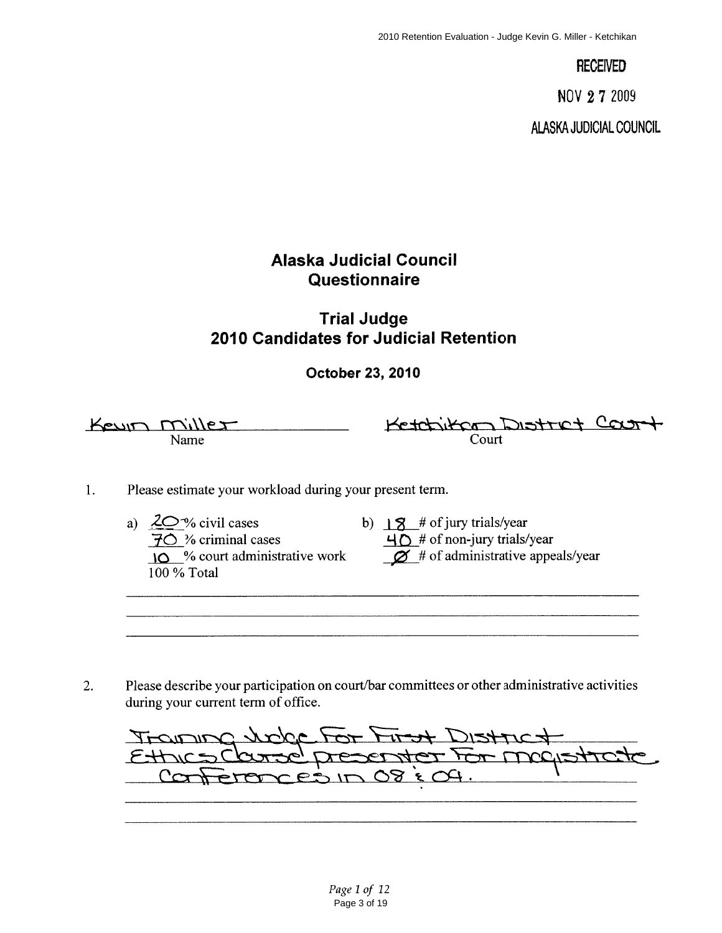**RECEIVED** 

NOV 27 2009

**ALASKA JUDICIAL COUNCIL** 

# **Alaska Judicial Council** Questionnaire

# **Trial Judge** 2010 Candidates for Judicial Retention

October 23, 2010

Keyin Miller Name

Ketchikan District Court Court

- Please estimate your workload during your present term.  $1.$ 
	- $\frac{20\%}{70}$  civil cases<br> $\frac{70}{10}$  % criminal cases a)  $2Q\%$  civil cases  $\overline{10}$  % court administrative work  $100\%$  Total
- - b)  $\frac{18}{8}$  # of jury trials/year  $\overline{40}$  # of non-jury trials/year  $\varnothing$  # of administrative appeals/year

Please describe your participation on court/bar committees or other administrative activities  $2.$ during your current term of office.

Jobe For First Distric Trans d'Asserter For Mogletto  $C \rightarrow \pi$  $\mathcal{O}8$   $\epsilon$  $CEDID$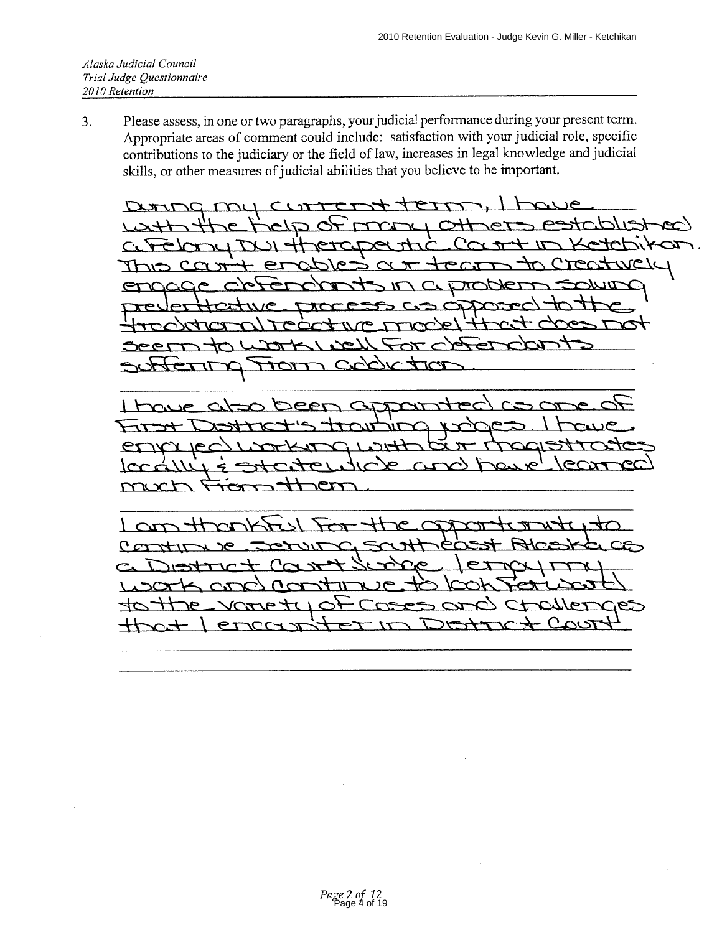Please assess, in one or two paragraphs, your judicial performance during your present term.  $3.$ Appropriate areas of comment could include: satisfaction with your judicial role, specific contributions to the judiciary or the field of law, increases in legal knowledge and judicial skills, or other measures of judicial abilities that you believe to be important.

**SUL** ᠢᢧ

 $\overline{L}$ 

T  $\sim$ rr  $\mathcal{L}$  $\bullet$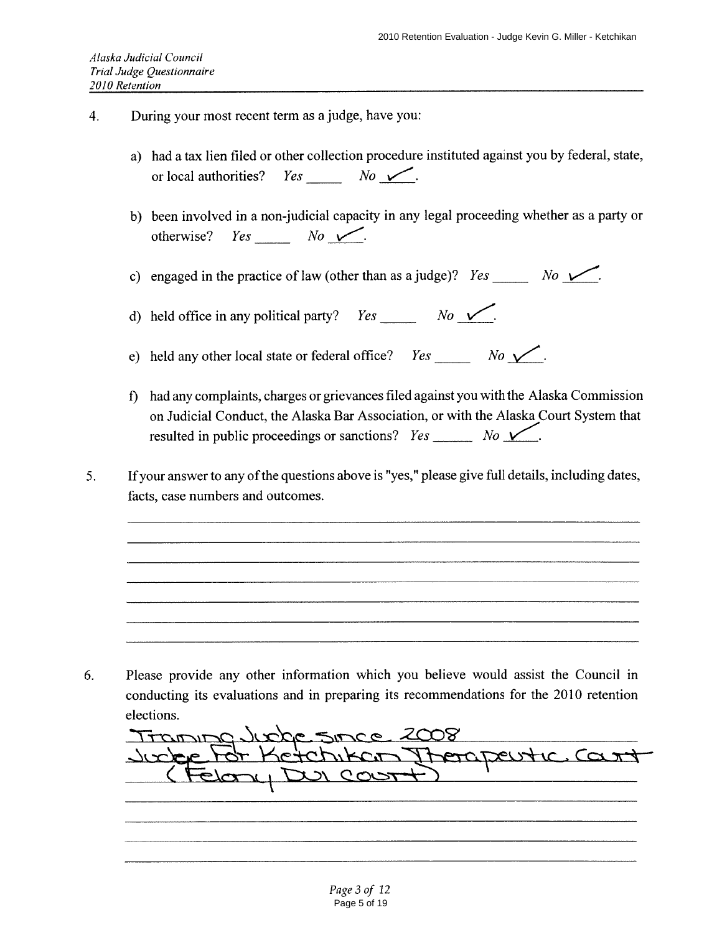- $4.$ During your most recent term as a judge, have you:
	- a) had a tax lien filed or other collection procedure instituted against you by federal, state, or local authorities?
	- b) been involved in a non-judicial capacity in any legal proceeding whether as a party or  $Yes$   $No$   $\checkmark$ . otherwise?

d) held office in any political party?  $Yes \_\_ No \_\_ No$ .

e) held any other local state or federal office?  $Yes \_\_ No \_\_ No \_\_$ .

- f) had any complaints, charges or grievances filed against you with the Alaska Commission on Judicial Conduct, the Alaska Bar Association, or with the Alaska Court System that resulted in public proceedings or sanctions?  $Yes \_\_\_\_ No \_\_\_$ .
- If your answer to any of the questions above is "yes," please give full details, including dates,  $5<sub>1</sub>$ facts, case numbers and outcomes.

Please provide any other information which you believe would assist the Council in 6. conducting its evaluations and in preparing its recommendations for the 2010 retention elections.

Transpolitée since 2008 Item Iterapeutic Cart  $\triangle$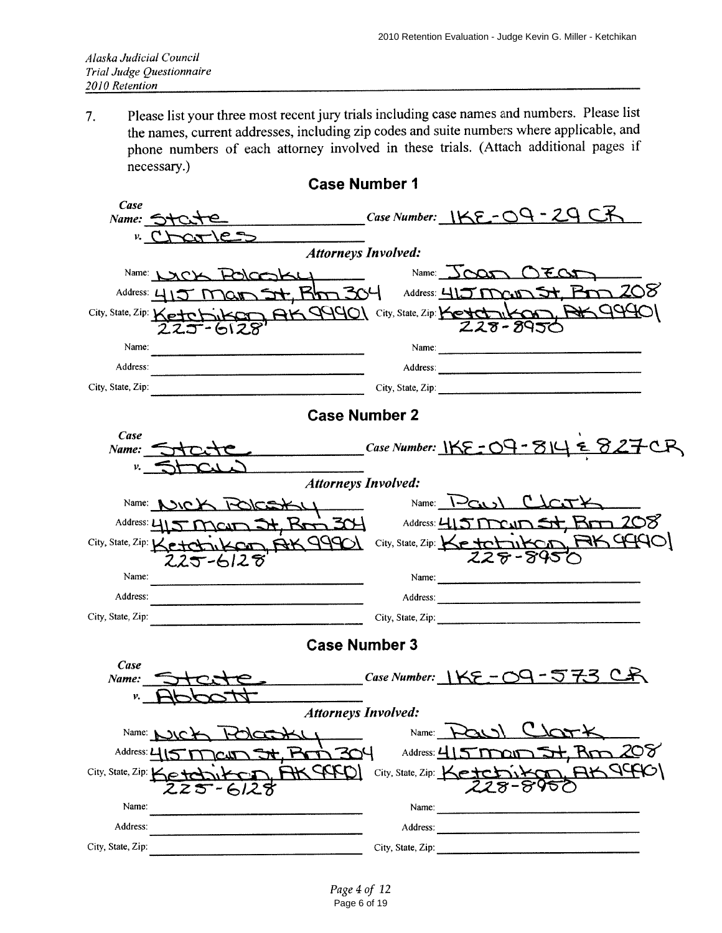Please list your three most recent jury trials including case names and numbers. Please list  $7.$ the names, current addresses, including zip codes and suite numbers where applicable, and phone numbers of each attorney involved in these trials. (Attach additional pages if necessary.)

| Case                       |                                                     |                                |                                                     |  |  |  |  |  |  |  |
|----------------------------|-----------------------------------------------------|--------------------------------|-----------------------------------------------------|--|--|--|--|--|--|--|
|                            | Name: State                                         |                                | Case Number: IKE-09-29 CK                           |  |  |  |  |  |  |  |
|                            | $cr/c$ =<br>r CT                                    |                                |                                                     |  |  |  |  |  |  |  |
| <b>Attorneys Involved:</b> |                                                     |                                |                                                     |  |  |  |  |  |  |  |
|                            | Name: LACK<br><u>HOLOGIKLI</u>                      |                                | Name: JOOD OEOD                                     |  |  |  |  |  |  |  |
|                            | Address: $45$<br><i>IT JOA</i>                      |                                | 208<br>St. Rhm 304 Address: 415 main 5              |  |  |  |  |  |  |  |
|                            | City, State, Zip: Ketchika<br>こいてん                  |                                | AK 99901 City, State, Zip: Ketch 11 KCh<br>228-8950 |  |  |  |  |  |  |  |
| Name:                      |                                                     |                                |                                                     |  |  |  |  |  |  |  |
| Address:                   |                                                     |                                |                                                     |  |  |  |  |  |  |  |
| City, State, Zip:          |                                                     |                                |                                                     |  |  |  |  |  |  |  |
|                            | <b>Case Number 2</b>                                |                                |                                                     |  |  |  |  |  |  |  |
| Case<br>Name:              |                                                     |                                | Case Number: $155 - 09 - 814 = 827$                 |  |  |  |  |  |  |  |
| v.                         |                                                     |                                |                                                     |  |  |  |  |  |  |  |
|                            | <b>Attorneys Involved:</b>                          |                                |                                                     |  |  |  |  |  |  |  |
|                            | Name: NOICY                                         |                                | Name: $\bigcup_{\text{Cat}}$                        |  |  |  |  |  |  |  |
|                            | Address: 415 MOAT<br>$2+$ $\frac{1}{2}$             |                                | Address: $415$ Me. $m$ $5 +$ $R$ $m$ $208$          |  |  |  |  |  |  |  |
|                            | KOD BK 99901<br>City, State, Zip: Ketch<br>225-6128 |                                | City, State, Zip: Ketchikan, RK94401<br>228-895     |  |  |  |  |  |  |  |
| Name:                      |                                                     |                                | Name: $\frac{1}{2}$                                 |  |  |  |  |  |  |  |
| Address:                   |                                                     | Address:                       |                                                     |  |  |  |  |  |  |  |
| City, State, Zip:          |                                                     |                                | City, State, Zip:                                   |  |  |  |  |  |  |  |
|                            | <b>Case Number 3</b>                                |                                |                                                     |  |  |  |  |  |  |  |
| Case                       |                                                     |                                | Case Number: $1KE - O9 - 573$ C.                    |  |  |  |  |  |  |  |
| Name:<br>ν.                |                                                     |                                |                                                     |  |  |  |  |  |  |  |
| <b>Attorneys Involved:</b> |                                                     |                                |                                                     |  |  |  |  |  |  |  |
| Name: $\sqrt{ }$           |                                                     | Name:                          |                                                     |  |  |  |  |  |  |  |
| Address:                   |                                                     | Address: L                     |                                                     |  |  |  |  |  |  |  |
| City, State, Zip: 1        |                                                     | City, State, Zip: $\downarrow$ |                                                     |  |  |  |  |  |  |  |
| Name:                      |                                                     | Name:                          |                                                     |  |  |  |  |  |  |  |
| Address:                   |                                                     | Address:                       |                                                     |  |  |  |  |  |  |  |
| City, State, Zip.          |                                                     | City, State, Zip:              |                                                     |  |  |  |  |  |  |  |

### **Case Number 1**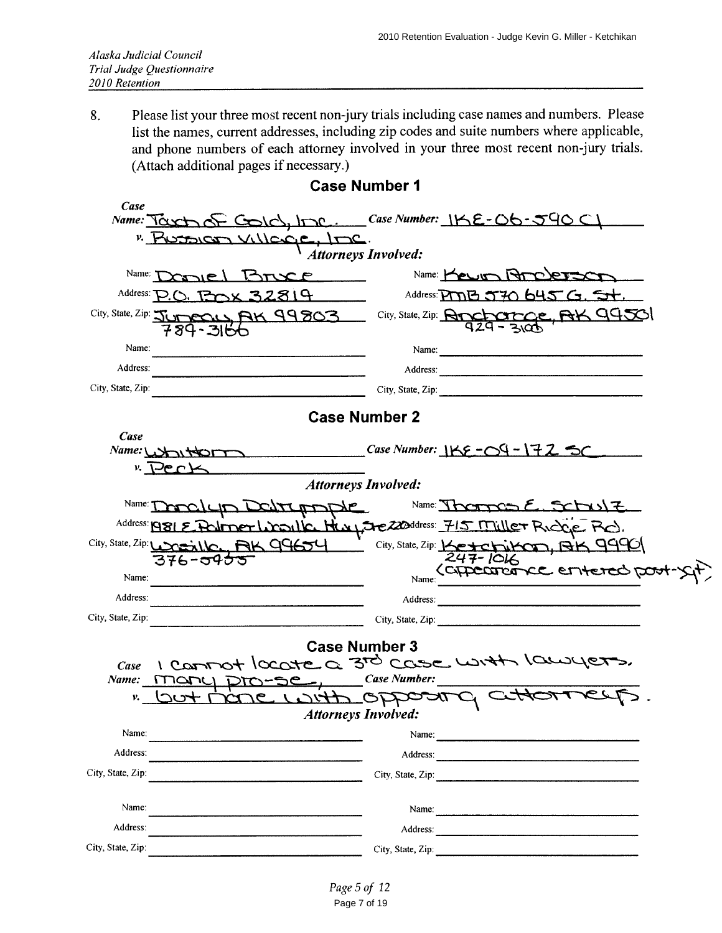Please list your three most recent non-jury trials including case names and numbers. Please 8. list the names, current addresses, including zip codes and suite numbers where applicable, and phone numbers of each attorney involved in your three most recent non-jury trials. (Attach additional pages if necessary.)

| Case                                                  |                                                             |                                                                                                                |  |  |  |  |  |  |  |  |
|-------------------------------------------------------|-------------------------------------------------------------|----------------------------------------------------------------------------------------------------------------|--|--|--|--|--|--|--|--|
|                                                       |                                                             | Name: Touch of Colc), Inc. Case Number: IKE-06-590 CL                                                          |  |  |  |  |  |  |  |  |
| " PUSSION VILLEGE, INC.<br><b>Attorneys Involved:</b> |                                                             |                                                                                                                |  |  |  |  |  |  |  |  |
| Name: T                                               | JIEL Bruce                                                  | Name: Kewin Propertie                                                                                          |  |  |  |  |  |  |  |  |
| Address: $\sum$                                       | 32819                                                       | Address: $PCDB$ 5720 $645G$ . 5+.                                                                              |  |  |  |  |  |  |  |  |
|                                                       | City, State, Zip: JUMECUL AK 99803<br>789-3166              | City, State, Zip: <b>Ancharce</b> , AK 99501                                                                   |  |  |  |  |  |  |  |  |
| Name:                                                 |                                                             | Name: $\qquad \qquad$                                                                                          |  |  |  |  |  |  |  |  |
| Address:                                              |                                                             | Address: 2008 and 2008 and 2008 and 2008 and 2008 and 2008 and 2008 and 2008 and 2008 and 2008 and 2008 and 20 |  |  |  |  |  |  |  |  |
| City, State, Zip:                                     |                                                             | City, State, Zip:                                                                                              |  |  |  |  |  |  |  |  |
|                                                       | <b>Case Number 2</b>                                        |                                                                                                                |  |  |  |  |  |  |  |  |
| Case                                                  |                                                             |                                                                                                                |  |  |  |  |  |  |  |  |
|                                                       | Name: WWW                                                   | Case Number: $156 - 09 - 172 = C$                                                                              |  |  |  |  |  |  |  |  |
|                                                       | $V \leftarrow V$<br><b>Attorneys Involved:</b>              |                                                                                                                |  |  |  |  |  |  |  |  |
| Name: $\tau$                                          |                                                             |                                                                                                                |  |  |  |  |  |  |  |  |
|                                                       | CATCATORE                                                   | Name: There $E$ , $StN1$                                                                                       |  |  |  |  |  |  |  |  |
|                                                       |                                                             | Address: 1981 E. Follmer Woolk Havy Jre 220ddress: 715 Miller Rickle Ro).                                      |  |  |  |  |  |  |  |  |
|                                                       | City, State, Zip: Unaille, AK 99654<br>376- <del>9955</del> | City, State, Zip: Ketchikon, BK 9990                                                                           |  |  |  |  |  |  |  |  |
| Name:                                                 |                                                             | Name:                                                                                                          |  |  |  |  |  |  |  |  |
| Address:                                              |                                                             | Address:                                                                                                       |  |  |  |  |  |  |  |  |
| City, State, Zip:                                     |                                                             | City, State, Zip:                                                                                              |  |  |  |  |  |  |  |  |
|                                                       | <b>Case Number 3</b>                                        |                                                                                                                |  |  |  |  |  |  |  |  |
| Case                                                  |                                                             | I commot locate a 3rd case with lawyers.                                                                       |  |  |  |  |  |  |  |  |
| Name:                                                 | <u>- SE-J</u><br>ITIQNU                                     | <b>Case Number:</b>                                                                                            |  |  |  |  |  |  |  |  |
| v.                                                    | 221                                                         | Tebband offerer                                                                                                |  |  |  |  |  |  |  |  |
|                                                       | <b>Attorneys Involved:</b>                                  |                                                                                                                |  |  |  |  |  |  |  |  |
| Name:                                                 |                                                             | Name:                                                                                                          |  |  |  |  |  |  |  |  |
| Address:                                              |                                                             | Address:                                                                                                       |  |  |  |  |  |  |  |  |
| City, State, Zip:                                     |                                                             | City, State, Zip:                                                                                              |  |  |  |  |  |  |  |  |
| Name:                                                 |                                                             | Name:                                                                                                          |  |  |  |  |  |  |  |  |
| Address:                                              |                                                             | Address:                                                                                                       |  |  |  |  |  |  |  |  |
| City, State, Zip:                                     |                                                             |                                                                                                                |  |  |  |  |  |  |  |  |
|                                                       |                                                             |                                                                                                                |  |  |  |  |  |  |  |  |

# **Case Number 1**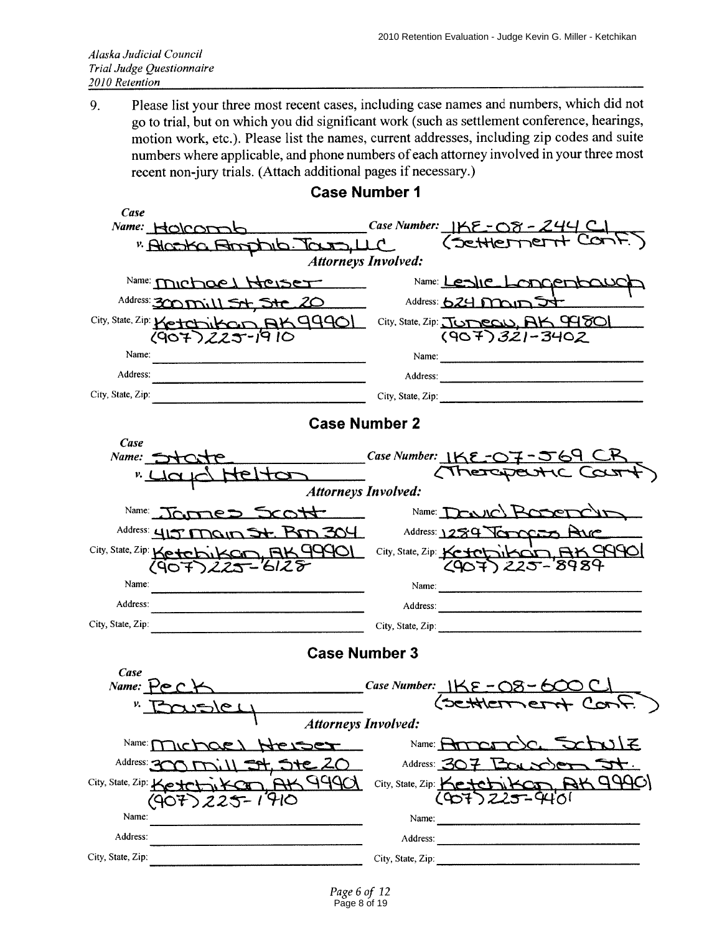Please list your three most recent cases, including case names and numbers, which did not 9. go to trial, but on which you did significant work (such as settlement conference, hearings, motion work, etc.). Please list the names, current addresses, including zip codes and suite numbers where applicable, and phone numbers of each attorney involved in your three most recent non-jury trials. (Attach additional pages if necessary.)

| Case                                                   |                                                         |  |  |  |  |  |  |  |  |  |
|--------------------------------------------------------|---------------------------------------------------------|--|--|--|--|--|--|--|--|--|
| Name: HOICOMO                                          | Case Number: $155 - 08 - 244$                           |  |  |  |  |  |  |  |  |  |
| "Alcoka Bondola Taxa, LLC                              | (Settlernent Con                                        |  |  |  |  |  |  |  |  |  |
| <b>Attorneys Involved:</b>                             |                                                         |  |  |  |  |  |  |  |  |  |
| Name: Michael Heiser                                   | Name: Leslie Longenbour                                 |  |  |  |  |  |  |  |  |  |
| Address: 300 mill St, Ste 20                           | Address: 624 main J+                                    |  |  |  |  |  |  |  |  |  |
| City, State, Zip: Ketchikan AK9990<br>(907) 225-19 10  | City, State, Zip: JUDECU, AK 94801<br>$(907)321 - 3402$ |  |  |  |  |  |  |  |  |  |
| Name:                                                  |                                                         |  |  |  |  |  |  |  |  |  |
| Address:                                               | Address:                                                |  |  |  |  |  |  |  |  |  |
| City, State, Zip:                                      | City, State, Zip:                                       |  |  |  |  |  |  |  |  |  |
|                                                        | <b>Case Number 2</b>                                    |  |  |  |  |  |  |  |  |  |
| Case                                                   |                                                         |  |  |  |  |  |  |  |  |  |
| Name: State                                            | Case Number: IKE-07-569 CK                              |  |  |  |  |  |  |  |  |  |
| telton                                                 | <b>Attorneys Involved:</b>                              |  |  |  |  |  |  |  |  |  |
|                                                        |                                                         |  |  |  |  |  |  |  |  |  |
| Name:<br>James Scott                                   | Name: DOWNC) ROOP                                       |  |  |  |  |  |  |  |  |  |
| Address: 415 Main St. Bm 304                           | Address: 1254 Tomorro Ave                               |  |  |  |  |  |  |  |  |  |
| City, State, Zip: Ketchikan, AK 99901<br>(907)225-6128 | City, State, Zip: Ketchikon, AK 9990<br>$225 - 8989$    |  |  |  |  |  |  |  |  |  |
| Name:                                                  | Name:                                                   |  |  |  |  |  |  |  |  |  |
| Address:                                               | Address:                                                |  |  |  |  |  |  |  |  |  |
| City, State, Zip:                                      | City, State, Zip: $\frac{1}{2}$                         |  |  |  |  |  |  |  |  |  |
|                                                        | <b>Case Number 3</b>                                    |  |  |  |  |  |  |  |  |  |
| Case                                                   |                                                         |  |  |  |  |  |  |  |  |  |
| Name:<br>ے ہے۔                                         | Case Number: $1KE - 08 - 6$<br>(SCHKETTIEI              |  |  |  |  |  |  |  |  |  |
| ا علاكن                                                | <b>Attorneys Involved:</b>                              |  |  |  |  |  |  |  |  |  |
| Name: f<br>ヤマピト                                        | Name: $\leftarrow$                                      |  |  |  |  |  |  |  |  |  |
| Address: -                                             | Address: $\mathfrak{S}$                                 |  |  |  |  |  |  |  |  |  |
| 94901<br>City, State, Zip: Koyel                       | BAGQ<br>City, State, Zip:                               |  |  |  |  |  |  |  |  |  |
| Name:                                                  | Name:                                                   |  |  |  |  |  |  |  |  |  |
| Address:                                               | Address:                                                |  |  |  |  |  |  |  |  |  |
| City, State, Zip:                                      |                                                         |  |  |  |  |  |  |  |  |  |
|                                                        | City, State, Zip:                                       |  |  |  |  |  |  |  |  |  |

# **Case Number 1**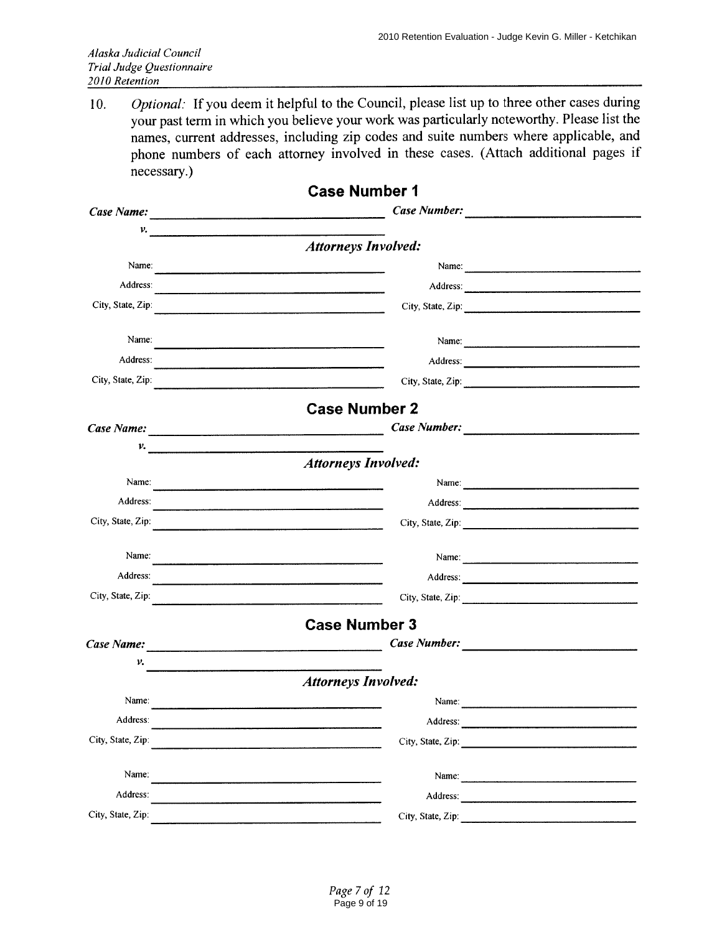Optional: If you deem it helpful to the Council, please list up to three other cases during  $10.$ your past term in which you believe your work was particularly noteworthy. Please list the names, current addresses, including zip codes and suite numbers where applicable, and phone numbers of each attorney involved in these cases. (Attach additional pages if necessary.)

|                                                                                                                                                                                                                                      | <b>Case Number 1</b>                                                                                                                                                                                                           |  |
|--------------------------------------------------------------------------------------------------------------------------------------------------------------------------------------------------------------------------------------|--------------------------------------------------------------------------------------------------------------------------------------------------------------------------------------------------------------------------------|--|
|                                                                                                                                                                                                                                      |                                                                                                                                                                                                                                |  |
| v.                                                                                                                                                                                                                                   |                                                                                                                                                                                                                                |  |
|                                                                                                                                                                                                                                      | <b>Attorneys Involved:</b>                                                                                                                                                                                                     |  |
| Name:                                                                                                                                                                                                                                | Name: $\frac{1}{\sqrt{1-\frac{1}{2}}\sqrt{1-\frac{1}{2}}\sqrt{1-\frac{1}{2}}\sqrt{1-\frac{1}{2}}}}$                                                                                                                            |  |
| Address:                                                                                                                                                                                                                             | Address:                                                                                                                                                                                                                       |  |
| City, State, Zip.                                                                                                                                                                                                                    | City, State, Zip:<br>.<br>Antara manazione di provincia della computazione della componenzazione della componenzazione della compositazi                                                                                       |  |
| Name:                                                                                                                                                                                                                                |                                                                                                                                                                                                                                |  |
| Address:                                                                                                                                                                                                                             |                                                                                                                                                                                                                                |  |
| City, State, Zip:                                                                                                                                                                                                                    | City, State, Zip:                                                                                                                                                                                                              |  |
|                                                                                                                                                                                                                                      | <b>Case Number 2</b>                                                                                                                                                                                                           |  |
| Case Name: <u>contract and contract and contract and contract and contract and contract and contract and contract and contract and contract and contract and contract and contract and contract and contract and contract and co</u> | Case Number:                                                                                                                                                                                                                   |  |
| $\nu$ .                                                                                                                                                                                                                              |                                                                                                                                                                                                                                |  |
|                                                                                                                                                                                                                                      | <b>Attorneys Involved:</b>                                                                                                                                                                                                     |  |
| Name:                                                                                                                                                                                                                                | Name: 2008.000 million and 2008.000 million and 2008.000 million and 2008.000 million and 2008.000 million and 2008.000 million and 2008.000 million and 2008.000 million and 2008.000 million and 2008.000 million and 2008.0 |  |
| Address:                                                                                                                                                                                                                             |                                                                                                                                                                                                                                |  |
| City, State, Zip:                                                                                                                                                                                                                    |                                                                                                                                                                                                                                |  |
| Name:                                                                                                                                                                                                                                |                                                                                                                                                                                                                                |  |
| Address:                                                                                                                                                                                                                             | <u> 1980 - Johann Stoff, deutscher Stoff, der Stoff, der Stoff, der Stoff, der Stoff, der Stoff, der Stoff, der S</u>                                                                                                          |  |
| City, State, Zip:                                                                                                                                                                                                                    |                                                                                                                                                                                                                                |  |
|                                                                                                                                                                                                                                      | <b>Case Number 3</b>                                                                                                                                                                                                           |  |
|                                                                                                                                                                                                                                      |                                                                                                                                                                                                                                |  |
| v.                                                                                                                                                                                                                                   |                                                                                                                                                                                                                                |  |
|                                                                                                                                                                                                                                      | <b>Attorneys Involved:</b>                                                                                                                                                                                                     |  |
| Name:                                                                                                                                                                                                                                | Name: $\frac{1}{\sqrt{1-\frac{1}{2}} \cdot \frac{1}{2}}$                                                                                                                                                                       |  |
| Address:                                                                                                                                                                                                                             | Address:                                                                                                                                                                                                                       |  |
| City, State, Zip:                                                                                                                                                                                                                    | City, State, Zip:                                                                                                                                                                                                              |  |
| Name:                                                                                                                                                                                                                                | Name:                                                                                                                                                                                                                          |  |
| Address:                                                                                                                                                                                                                             | Address:                                                                                                                                                                                                                       |  |
| City, State, Zip:                                                                                                                                                                                                                    | City, State, Zip:                                                                                                                                                                                                              |  |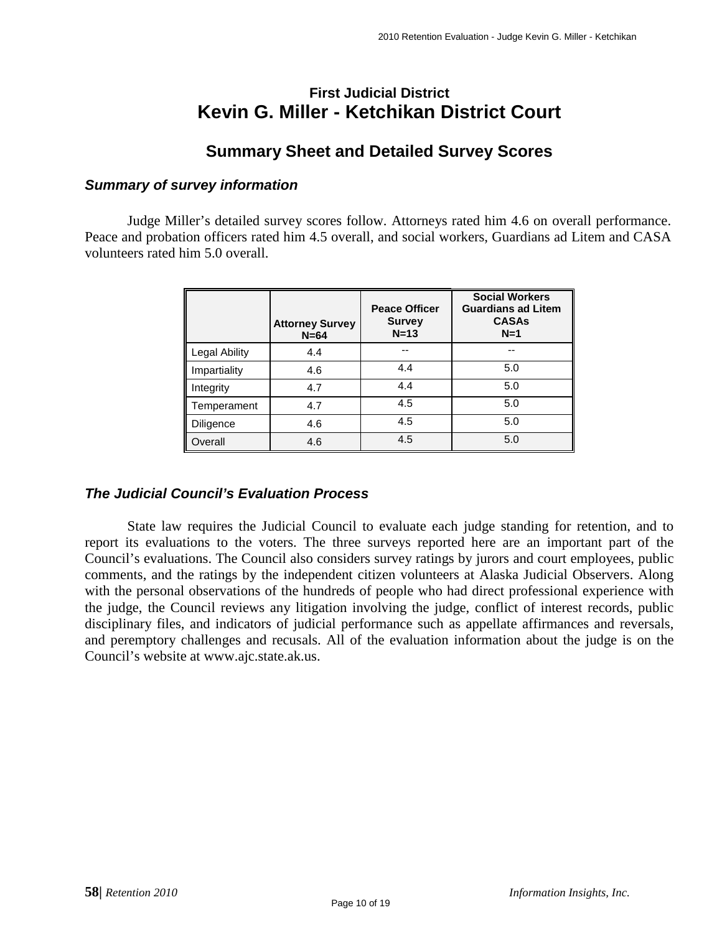# **First Judicial District Kevin G. Miller - Ketchikan District Court**

# **Summary Sheet and Detailed Survey Scores**

### *Summary of survey information*

Judge Miller's detailed survey scores follow. Attorneys rated him 4.6 on overall performance. Peace and probation officers rated him 4.5 overall, and social workers, Guardians ad Litem and CASA volunteers rated him 5.0 overall.

|               | <b>Attorney Survey</b><br>$N = 64$ | <b>Peace Officer</b><br><b>Survey</b><br>$N=13$ | <b>Social Workers</b><br><b>Guardians ad Litem</b><br><b>CASAs</b><br>$N=1$ |
|---------------|------------------------------------|-------------------------------------------------|-----------------------------------------------------------------------------|
| Legal Ability | 4.4                                | --                                              | --                                                                          |
| Impartiality  | 4.6                                | 4.4                                             | 5.0                                                                         |
| Integrity     | 4.7                                | 4.4                                             | 5.0                                                                         |
| Temperament   | 4.7                                | 4.5                                             | 5.0                                                                         |
| Diligence     | 4.6                                | 4.5                                             | 5.0                                                                         |
| Overall       | 4.6                                | 4.5                                             | 5.0                                                                         |

### *The Judicial Council's Evaluation Process*

State law requires the Judicial Council to evaluate each judge standing for retention, and to report its evaluations to the voters. The three surveys reported here are an important part of the Council's evaluations. The Council also considers survey ratings by jurors and court employees, public comments, and the ratings by the independent citizen volunteers at Alaska Judicial Observers. Along with the personal observations of the hundreds of people who had direct professional experience with the judge, the Council reviews any litigation involving the judge, conflict of interest records, public disciplinary files, and indicators of judicial performance such as appellate affirmances and reversals, and peremptory challenges and recusals. All of the evaluation information about the judge is on the Council's website at www.ajc.state.ak.us.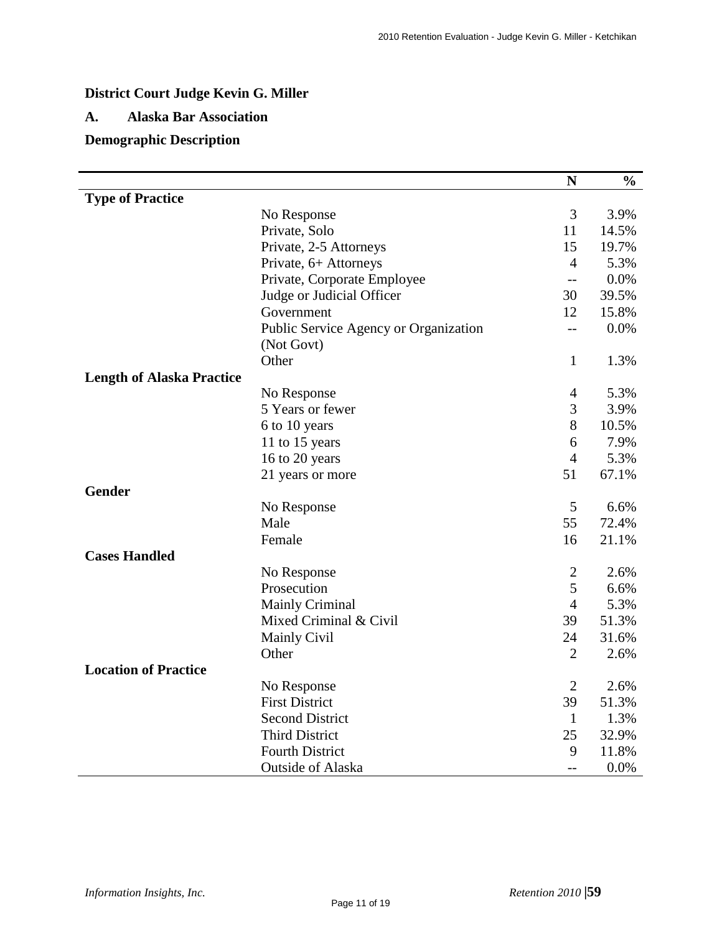# **District Court Judge Kevin G. Miller**

### **A. Alaska Bar Association**

# **Demographic Description**

|                                  |                                       | $\mathbf N$              | $\frac{0}{0}$ |
|----------------------------------|---------------------------------------|--------------------------|---------------|
| <b>Type of Practice</b>          |                                       |                          |               |
|                                  | No Response                           | 3                        | 3.9%          |
|                                  | Private, Solo                         | 11                       | 14.5%         |
|                                  | Private, 2-5 Attorneys                | 15                       | 19.7%         |
|                                  | Private, 6+ Attorneys                 | $\overline{4}$           | 5.3%          |
|                                  | Private, Corporate Employee           | $\overline{\phantom{a}}$ | 0.0%          |
|                                  | Judge or Judicial Officer             | 30                       | 39.5%         |
|                                  | Government                            | 12                       | 15.8%         |
|                                  | Public Service Agency or Organization | $-$                      | 0.0%          |
|                                  | (Not Govt)                            |                          |               |
|                                  | Other                                 | $\mathbf{1}$             | 1.3%          |
| <b>Length of Alaska Practice</b> |                                       |                          |               |
|                                  | No Response                           | $\overline{4}$           | 5.3%          |
|                                  | 5 Years or fewer                      | 3                        | 3.9%          |
|                                  | 6 to 10 years                         | 8                        | 10.5%         |
|                                  | 11 to 15 years                        | 6                        | 7.9%          |
|                                  | 16 to 20 years                        | $\overline{4}$           | 5.3%          |
|                                  | 21 years or more                      | 51                       | 67.1%         |
| <b>Gender</b>                    |                                       |                          |               |
|                                  | No Response                           | 5                        | 6.6%          |
|                                  | Male                                  | 55                       | 72.4%         |
|                                  | Female                                | 16                       | 21.1%         |
| <b>Cases Handled</b>             |                                       |                          |               |
|                                  | No Response                           | $\overline{2}$           | 2.6%          |
|                                  | Prosecution                           | 5                        | 6.6%          |
|                                  | <b>Mainly Criminal</b>                | $\overline{4}$           | 5.3%          |
|                                  | Mixed Criminal & Civil                | 39                       | 51.3%         |
|                                  | <b>Mainly Civil</b>                   | 24                       | 31.6%         |
|                                  | Other                                 | $\overline{2}$           | 2.6%          |
| <b>Location of Practice</b>      |                                       |                          |               |
|                                  | No Response                           | $\overline{2}$           | 2.6%          |
|                                  | <b>First District</b>                 | 39                       | 51.3%         |
|                                  | <b>Second District</b>                | $\mathbf{1}$             | 1.3%          |
|                                  | <b>Third District</b>                 | 25                       | 32.9%         |
|                                  | <b>Fourth District</b>                | 9                        | 11.8%         |
|                                  | <b>Outside of Alaska</b>              | $-$                      | 0.0%          |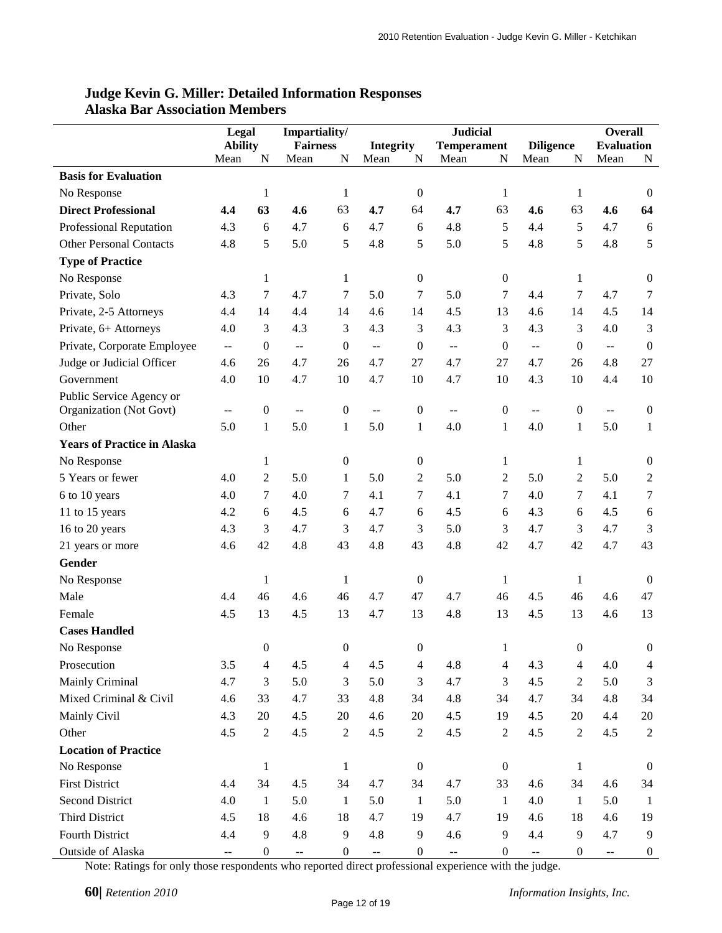|                                    | Legal                    |                  | Impartiality/            |                  |                          |                  | <b>Judicial</b>                               |                  |                           | <b>Overall</b>   |                                               |                  |
|------------------------------------|--------------------------|------------------|--------------------------|------------------|--------------------------|------------------|-----------------------------------------------|------------------|---------------------------|------------------|-----------------------------------------------|------------------|
|                                    | <b>Ability</b>           |                  | <b>Fairness</b>          |                  | <b>Integrity</b>         |                  | <b>Temperament</b>                            |                  | <b>Diligence</b>          |                  | <b>Evaluation</b>                             |                  |
|                                    | Mean                     | N                | Mean                     | N                | Mean                     | N                | Mean                                          | N                | Mean                      | N                | Mean                                          | N                |
| <b>Basis for Evaluation</b>        |                          |                  |                          |                  |                          |                  |                                               |                  |                           |                  |                                               |                  |
| No Response                        |                          | $\mathbf{1}$     |                          | $\mathbf{1}$     |                          | $\boldsymbol{0}$ |                                               | $\mathbf{1}$     |                           | 1                |                                               | $\boldsymbol{0}$ |
| <b>Direct Professional</b>         | 4.4                      | 63               | 4.6                      | 63               | 4.7                      | 64               | 4.7                                           | 63               | 4.6                       | 63               | 4.6                                           | 64               |
| <b>Professional Reputation</b>     | 4.3                      | 6                | 4.7                      | 6                | 4.7                      | 6                | 4.8                                           | 5                | 4.4                       | 5                | 4.7                                           | 6                |
| <b>Other Personal Contacts</b>     | 4.8                      | 5                | 5.0                      | 5                | 4.8                      | 5                | 5.0                                           | 5                | 4.8                       | 5                | 4.8                                           | 5                |
| <b>Type of Practice</b>            |                          |                  |                          |                  |                          |                  |                                               |                  |                           |                  |                                               |                  |
| No Response                        |                          | $\mathbf{1}$     |                          | $\mathbf{1}$     |                          | $\boldsymbol{0}$ |                                               | $\boldsymbol{0}$ |                           | 1                |                                               | $\boldsymbol{0}$ |
| Private, Solo                      | 4.3                      | 7                | 4.7                      | 7                | 5.0                      | 7                | 5.0                                           | 7                | 4.4                       | $\tau$           | 4.7                                           | $\tau$           |
| Private, 2-5 Attorneys             | 4.4                      | 14               | 4.4                      | 14               | 4.6                      | 14               | 4.5                                           | 13               | 4.6                       | 14               | 4.5                                           | 14               |
| Private, 6+ Attorneys              | 4.0                      | 3                | 4.3                      | 3                | 4.3                      | 3                | 4.3                                           | 3                | 4.3                       | 3                | 4.0                                           | 3                |
| Private, Corporate Employee        | $\overline{\phantom{a}}$ | $\boldsymbol{0}$ | $- -$                    | $\mathbf{0}$     | $\overline{\phantom{a}}$ | $\boldsymbol{0}$ | $\overline{a}$                                | $\mathbf{0}$     | $\omega$ $\omega$         | $\theta$         | $\mathbb{L}^{\mathbb{L}}$                     | $\boldsymbol{0}$ |
| Judge or Judicial Officer          | 4.6                      | 26               | 4.7                      | 26               | 4.7                      | 27               | 4.7                                           | 27               | 4.7                       | 26               | 4.8                                           | 27               |
| Government                         | 4.0                      | 10               | 4.7                      | 10               | 4.7                      | 10               | 4.7                                           | 10               | 4.3                       | 10               | 4.4                                           | 10               |
| Public Service Agency or           |                          |                  |                          |                  |                          |                  |                                               |                  |                           |                  |                                               |                  |
| Organization (Not Govt)            | $\overline{\phantom{m}}$ | $\boldsymbol{0}$ | $\overline{a}$           | $\boldsymbol{0}$ | $-$                      | $\boldsymbol{0}$ | $\mathord{\hspace{1pt}\text{--}\hspace{1pt}}$ | $\boldsymbol{0}$ | $\overline{\phantom{a}}$  | $\overline{0}$   | $-$                                           | $\overline{0}$   |
| Other                              | 5.0                      | $\mathbf{1}$     | 5.0                      | $\mathbf{1}$     | 5.0                      | $\mathbf{1}$     | 4.0                                           | $\mathbf{1}$     | 4.0                       | $\mathbf{1}$     | 5.0                                           | $\mathbf{1}$     |
| <b>Years of Practice in Alaska</b> |                          |                  |                          |                  |                          |                  |                                               |                  |                           |                  |                                               |                  |
| No Response                        |                          | $\mathbf{1}$     |                          | $\boldsymbol{0}$ |                          | $\boldsymbol{0}$ |                                               | 1                |                           | 1                |                                               | $\boldsymbol{0}$ |
| 5 Years or fewer                   | 4.0                      | $\overline{c}$   | 5.0                      | $\mathbf{1}$     | 5.0                      | 2                | 5.0                                           | 2                | 5.0                       | $\overline{2}$   | 5.0                                           | $\mathbf{2}$     |
| 6 to 10 years                      | 4.0                      | 7                | 4.0                      | 7                | 4.1                      | 7                | 4.1                                           | 7                | 4.0                       | $\tau$           | 4.1                                           | 7                |
| 11 to 15 years                     | 4.2                      | 6                | 4.5                      | 6                | 4.7                      | 6                | 4.5                                           | 6                | 4.3                       | 6                | 4.5                                           | 6                |
| 16 to 20 years                     | 4.3                      | 3                | 4.7                      | 3                | 4.7                      | 3                | 5.0                                           | 3                | 4.7                       | 3                | 4.7                                           | 3                |
| 21 years or more                   | 4.6                      | 42               | 4.8                      | 43               | 4.8                      | 43               | 4.8                                           | 42               | 4.7                       | 42               | 4.7                                           | 43               |
| Gender                             |                          |                  |                          |                  |                          |                  |                                               |                  |                           |                  |                                               |                  |
| No Response                        |                          | $\mathbf{1}$     |                          | $\mathbf{1}$     |                          | $\boldsymbol{0}$ |                                               | $\mathbf{1}$     |                           | 1                |                                               | $\boldsymbol{0}$ |
| Male                               | 4.4                      | 46               | 4.6                      | 46               | 4.7                      | 47               | 4.7                                           | 46               | 4.5                       | 46               | 4.6                                           | 47               |
| Female                             | 4.5                      | 13               | 4.5                      | 13               | 4.7                      | 13               | 4.8                                           | 13               | 4.5                       | 13               | 4.6                                           | 13               |
| <b>Cases Handled</b>               |                          |                  |                          |                  |                          |                  |                                               |                  |                           |                  |                                               |                  |
| No Response                        |                          | $\boldsymbol{0}$ |                          | $\boldsymbol{0}$ |                          | $\Omega$         |                                               |                  |                           | $\Omega$         |                                               | $\theta$         |
| Prosecution                        | 3.5                      | 4                | 4.5                      | $\overline{4}$   | 4.5                      | $\overline{4}$   | 4.8                                           | $\overline{4}$   | 4.3                       | $\overline{4}$   | 4.0                                           | $\overline{4}$   |
| Mainly Criminal                    | 4.7                      | 3                | 5.0                      | 3                | 5.0                      | 3                | 4.7                                           | 3                | 4.5                       | 2                | 5.0                                           | 3                |
| Mixed Criminal & Civil             | 4.6                      | 33               | 4.7                      | 33               | 4.8                      | 34               | 4.8                                           | 34               | 4.7                       | 34               | 4.8                                           | 34               |
| Mainly Civil                       | 4.3                      | 20               | 4.5                      | 20               | 4.6                      | 20               | 4.5                                           | 19               | 4.5                       | 20               | 4.4                                           | 20               |
| Other                              | 4.5                      | $\sqrt{2}$       | 4.5                      | $\sqrt{2}$       | 4.5                      | $\overline{2}$   | 4.5                                           | 2                | 4.5                       | 2                | 4.5                                           | $\overline{2}$   |
| <b>Location of Practice</b>        |                          |                  |                          |                  |                          |                  |                                               |                  |                           |                  |                                               |                  |
| No Response                        |                          | $\mathbf{1}$     |                          | $\mathbf{1}$     |                          | $\boldsymbol{0}$ |                                               | $\boldsymbol{0}$ |                           | $\mathbf{1}$     |                                               | $\boldsymbol{0}$ |
| <b>First District</b>              | 4.4                      | 34               | 4.5                      | 34               | 4.7                      | 34               | 4.7                                           | 33               | 4.6                       | 34               | 4.6                                           | 34               |
| <b>Second District</b>             | 4.0                      | $\mathbf{1}$     | 5.0                      | 1                | 5.0                      | 1                | 5.0                                           | $\mathbf{1}$     | 4.0                       | 1                | 5.0                                           | $\mathbf{1}$     |
| <b>Third District</b>              | 4.5                      | 18               | 4.6                      | 18               | 4.7                      | 19               | 4.7                                           | 19               | 4.6                       | 18               | 4.6                                           | 19               |
| Fourth District                    | 4.4                      | $\overline{9}$   | 4.8                      | $\overline{9}$   | 4.8                      | $\overline{9}$   | 4.6                                           | $\overline{9}$   | 4.4                       | 9                | 4.7                                           | 9                |
| Outside of Alaska                  | $\overline{\phantom{a}}$ | $\boldsymbol{0}$ | $\overline{\phantom{a}}$ | $\boldsymbol{0}$ | $\overline{\phantom{a}}$ | $\boldsymbol{0}$ | $\overline{\phantom{a}}$                      | $\boldsymbol{0}$ | $\mathbb{H}^{\mathbb{H}}$ | $\boldsymbol{0}$ | $\mathord{\hspace{1pt}\text{--}\hspace{1pt}}$ | $\boldsymbol{0}$ |

### **Judge Kevin G. Miller: Detailed Information Responses Alaska Bar Association Members**

Note: Ratings for only those respondents who reported direct professional experience with the judge.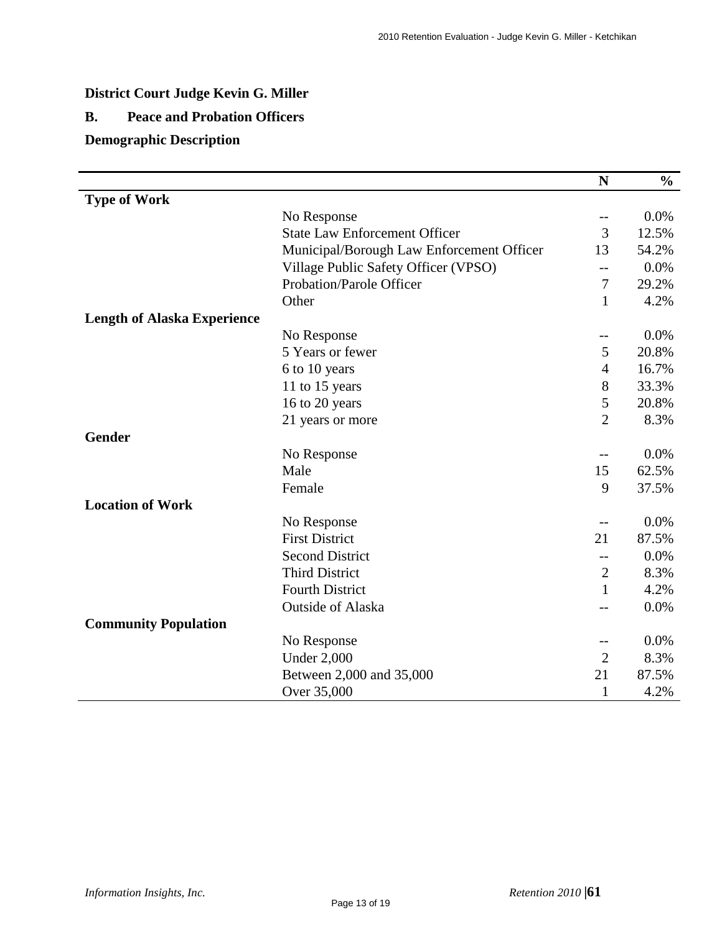# **District Court Judge Kevin G. Miller**

# **B. Peace and Probation Officers**

# **Demographic Description**

|                                    |                                           | N              | $\frac{6}{6}$ |
|------------------------------------|-------------------------------------------|----------------|---------------|
| <b>Type of Work</b>                |                                           |                |               |
|                                    | No Response                               | $-$            | 0.0%          |
|                                    | <b>State Law Enforcement Officer</b>      | 3              | 12.5%         |
|                                    | Municipal/Borough Law Enforcement Officer | 13             | 54.2%         |
|                                    | Village Public Safety Officer (VPSO)      | --             | 0.0%          |
|                                    | Probation/Parole Officer                  | $\tau$         | 29.2%         |
|                                    | Other                                     | $\mathbf{1}$   | 4.2%          |
| <b>Length of Alaska Experience</b> |                                           |                |               |
|                                    | No Response                               | --             | 0.0%          |
|                                    | 5 Years or fewer                          | 5              | 20.8%         |
|                                    | 6 to 10 years                             | $\overline{4}$ | 16.7%         |
|                                    | 11 to 15 years                            | 8              | 33.3%         |
|                                    | 16 to 20 years                            | 5              | 20.8%         |
|                                    | 21 years or more                          | $\overline{2}$ | 8.3%          |
| <b>Gender</b>                      |                                           |                |               |
|                                    | No Response                               | --             | 0.0%          |
|                                    | Male                                      | 15             | 62.5%         |
|                                    | Female                                    | 9              | 37.5%         |
| <b>Location of Work</b>            |                                           |                |               |
|                                    | No Response                               | --             | 0.0%          |
|                                    | <b>First District</b>                     | 21             | 87.5%         |
|                                    | <b>Second District</b>                    | $-$            | 0.0%          |
|                                    | <b>Third District</b>                     | $\overline{2}$ | 8.3%          |
|                                    | <b>Fourth District</b>                    | $\mathbf{1}$   | 4.2%          |
|                                    | Outside of Alaska                         | --             | 0.0%          |
| <b>Community Population</b>        |                                           |                |               |
|                                    | No Response                               | $-$            | 0.0%          |
|                                    | <b>Under 2,000</b>                        | $\overline{2}$ | 8.3%          |
|                                    | Between 2,000 and 35,000                  | 21             | 87.5%         |
|                                    | Over 35,000                               | 1              | 4.2%          |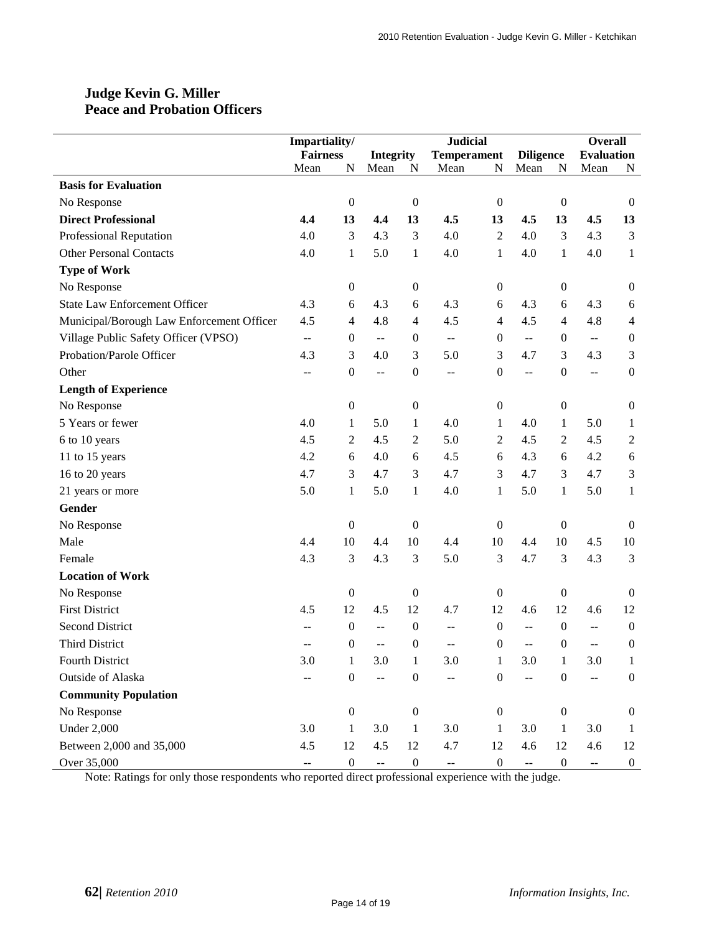### **Judge Kevin G. Miller Peace and Probation Officers**

|                                           | Impartiality/                                 |                  |                                               |                  | <b>Judicial</b>    |                  |                                               |                  | <b>Overall</b>                                |                  |
|-------------------------------------------|-----------------------------------------------|------------------|-----------------------------------------------|------------------|--------------------|------------------|-----------------------------------------------|------------------|-----------------------------------------------|------------------|
|                                           | <b>Fairness</b>                               |                  | <b>Integrity</b>                              |                  | <b>Temperament</b> |                  | <b>Diligence</b>                              |                  | <b>Evaluation</b>                             |                  |
|                                           | Mean                                          | N                | Mean                                          | $\mathbf N$      | Mean               | ${\bf N}$        | Mean                                          | ${\bf N}$        | Mean                                          | N                |
| <b>Basis for Evaluation</b>               |                                               |                  |                                               |                  |                    |                  |                                               |                  |                                               |                  |
| No Response                               |                                               | $\boldsymbol{0}$ |                                               | $\boldsymbol{0}$ |                    | $\boldsymbol{0}$ |                                               | $\boldsymbol{0}$ |                                               | $\mathbf{0}$     |
| <b>Direct Professional</b>                | 4.4                                           | 13               | 4,4                                           | 13               | 4.5                | 13               | 4.5                                           | 13               | 4.5                                           | 13               |
| Professional Reputation                   | 4.0                                           | 3                | 4.3                                           | 3                | 4.0                | 2                | 4.0                                           | 3                | 4.3                                           | 3                |
| <b>Other Personal Contacts</b>            | 4.0                                           | 1                | 5.0                                           | $\mathbf{1}$     | 4.0                | $\mathbf{1}$     | 4.0                                           | $\mathbf{1}$     | 4.0                                           | $\mathbf{1}$     |
| <b>Type of Work</b>                       |                                               |                  |                                               |                  |                    |                  |                                               |                  |                                               |                  |
| No Response                               |                                               | $\boldsymbol{0}$ |                                               | $\boldsymbol{0}$ |                    | $\boldsymbol{0}$ |                                               | $\boldsymbol{0}$ |                                               | $\boldsymbol{0}$ |
| <b>State Law Enforcement Officer</b>      | 4.3                                           | 6                | 4.3                                           | 6                | 4.3                | 6                | 4.3                                           | 6                | 4.3                                           | 6                |
| Municipal/Borough Law Enforcement Officer | 4.5                                           | $\overline{4}$   | 4.8                                           | $\overline{4}$   | 4.5                | 4                | 4.5                                           | 4                | 4.8                                           | 4                |
| Village Public Safety Officer (VPSO)      | $\overline{a}$                                | $\boldsymbol{0}$ | $\mathbb{L} \mathbb{L}$                       | $\boldsymbol{0}$ | $\overline{a}$     | 0                | $\mathbb{L}^{\mathbb{L}}$                     | $\boldsymbol{0}$ | $\mathbb{L}^2$                                | $\boldsymbol{0}$ |
| Probation/Parole Officer                  | 4.3                                           | 3                | 4.0                                           | 3                | 5.0                | 3                | 4.7                                           | 3                | 4.3                                           | 3                |
| Other                                     | $-$                                           | $\boldsymbol{0}$ | $\mathord{\hspace{1pt}\text{--}\hspace{1pt}}$ | $\boldsymbol{0}$ | $-$                | $\boldsymbol{0}$ | $\mathord{\hspace{1pt}\text{--}\hspace{1pt}}$ | $\boldsymbol{0}$ | $\overline{a}$                                | $\boldsymbol{0}$ |
| <b>Length of Experience</b>               |                                               |                  |                                               |                  |                    |                  |                                               |                  |                                               |                  |
| No Response                               |                                               | $\boldsymbol{0}$ |                                               | $\boldsymbol{0}$ |                    | $\boldsymbol{0}$ |                                               | $\boldsymbol{0}$ |                                               | $\boldsymbol{0}$ |
| 5 Years or fewer                          | 4.0                                           | 1                | 5.0                                           | $\mathbf{1}$     | 4.0                | 1                | 4.0                                           | $\mathbf{1}$     | 5.0                                           | $\mathbf{1}$     |
| 6 to 10 years                             | 4.5                                           | 2                | 4.5                                           | $\sqrt{2}$       | 5.0                | $\boldsymbol{2}$ | 4.5                                           | $\overline{c}$   | 4.5                                           | $\boldsymbol{2}$ |
| 11 to 15 years                            | 4.2                                           | $\sqrt{6}$       | 4.0                                           | $\sqrt{6}$       | 4.5                | 6                | 4.3                                           | 6                | 4.2                                           | 6                |
| 16 to 20 years                            | 4.7                                           | 3                | 4.7                                           | 3                | 4.7                | 3                | 4.7                                           | 3                | 4.7                                           | 3                |
| 21 years or more                          | 5.0                                           | $\mathbf{1}$     | 5.0                                           | $\mathbf{1}$     | 4.0                | $\mathbf{1}$     | 5.0                                           | $\mathbf{1}$     | 5.0                                           | $\mathbf{1}$     |
| Gender                                    |                                               |                  |                                               |                  |                    |                  |                                               |                  |                                               |                  |
| No Response                               |                                               | $\boldsymbol{0}$ |                                               | $\boldsymbol{0}$ |                    | $\boldsymbol{0}$ |                                               | $\boldsymbol{0}$ |                                               | $\boldsymbol{0}$ |
| Male                                      | 4.4                                           | 10               | 4.4                                           | 10               | 4.4                | 10               | 4.4                                           | 10               | 4.5                                           | 10               |
| Female                                    | 4.3                                           | 3                | 4.3                                           | 3                | 5.0                | 3                | 4.7                                           | 3                | 4.3                                           | 3                |
| <b>Location of Work</b>                   |                                               |                  |                                               |                  |                    |                  |                                               |                  |                                               |                  |
| No Response                               |                                               | $\boldsymbol{0}$ |                                               | $\boldsymbol{0}$ |                    | $\boldsymbol{0}$ |                                               | $\boldsymbol{0}$ |                                               | $\boldsymbol{0}$ |
| <b>First District</b>                     | 4.5                                           | 12               | 4.5                                           | 12               | 4.7                | 12               | 4.6                                           | 12               | 4.6                                           | 12               |
| <b>Second District</b>                    | $-$                                           | $\boldsymbol{0}$ | $\mathord{\hspace{1pt}\text{--}\hspace{1pt}}$ | $\boldsymbol{0}$ | $-$                | $\boldsymbol{0}$ | $- -$                                         | $\boldsymbol{0}$ | $\mathord{\hspace{1pt}\text{--}\hspace{1pt}}$ | $\boldsymbol{0}$ |
| <b>Third District</b>                     |                                               | $\boldsymbol{0}$ | $-$                                           | $\boldsymbol{0}$ | $-$                | $\boldsymbol{0}$ | $\overline{a}$                                | $\boldsymbol{0}$ | $-$                                           | $\boldsymbol{0}$ |
| Fourth District                           | 3.0                                           | $\mathbf{1}$     | 3.0                                           | $\mathbf{1}$     | $3.0\,$            | 1                | 3.0                                           | $\mathbf{1}$     | 3.0                                           | $\mathbf{1}$     |
| Outside of Alaska                         | $-$                                           | $\boldsymbol{0}$ | $\mathbb{L}^2$                                | $\boldsymbol{0}$ | $\overline{a}$     | $\boldsymbol{0}$ | --                                            | $\boldsymbol{0}$ | 44                                            | $\boldsymbol{0}$ |
| <b>Community Population</b>               |                                               |                  |                                               |                  |                    |                  |                                               |                  |                                               |                  |
| No Response                               |                                               | $\boldsymbol{0}$ |                                               | $\boldsymbol{0}$ |                    | $\boldsymbol{0}$ |                                               | $\boldsymbol{0}$ |                                               | $\boldsymbol{0}$ |
| <b>Under 2,000</b>                        | 3.0                                           | $\mathbf{1}$     | 3.0                                           | $\mathbf{1}$     | 3.0                | 1                | 3.0                                           | $\mathbf{1}$     | 3.0                                           | $\mathbf{1}$     |
| Between 2,000 and 35,000                  | 4.5                                           | 12               | 4.5                                           | 12               | 4.7                | 12               | 4.6                                           | 12               | 4.6                                           | 12               |
| Over 35,000                               | $\mathord{\hspace{1pt}\text{--}\hspace{1pt}}$ | $\boldsymbol{0}$ | $\mathbb{Z}^2$                                | $\boldsymbol{0}$ | --                 | $\boldsymbol{0}$ | $\mathbb{L}^{\perp}$                          | $\boldsymbol{0}$ | $\overline{\phantom{m}}$                      | $\boldsymbol{0}$ |

Note: Ratings for only those respondents who reported direct professional experience with the judge.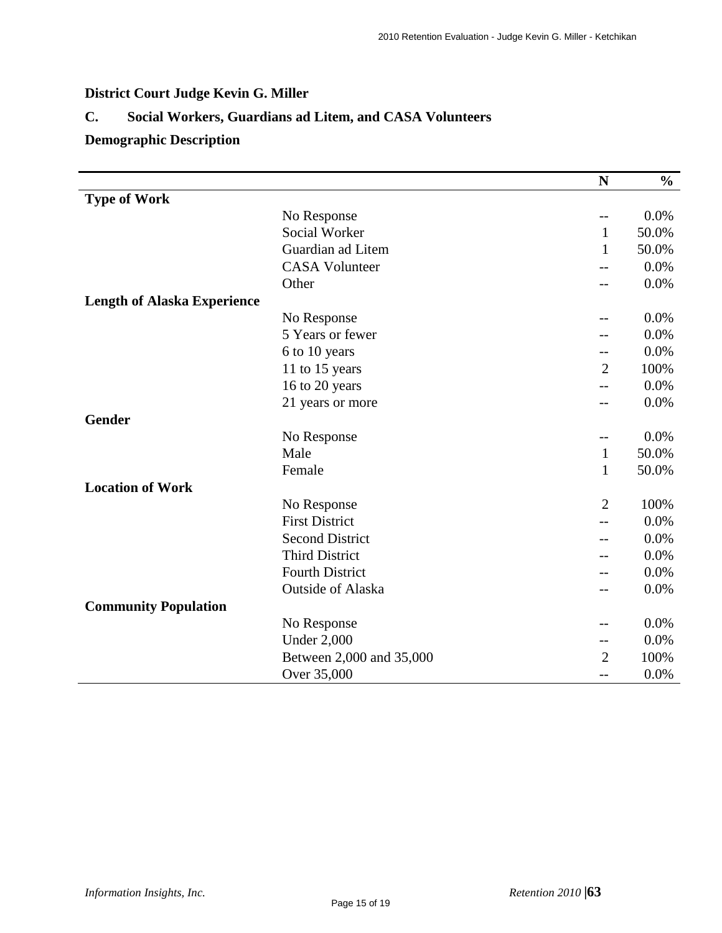# **District Court Judge Kevin G. Miller**

# **C. Social Workers, Guardians ad Litem, and CASA Volunteers**

# **Demographic Description**

|                                    |                          | N              | $\frac{0}{0}$ |
|------------------------------------|--------------------------|----------------|---------------|
| <b>Type of Work</b>                |                          |                |               |
|                                    | No Response              | $- -$          | 0.0%          |
|                                    | Social Worker            | $\mathbf{1}$   | 50.0%         |
|                                    | Guardian ad Litem        | $\mathbf{1}$   | 50.0%         |
|                                    | <b>CASA Volunteer</b>    |                | 0.0%          |
|                                    | Other                    |                | 0.0%          |
| <b>Length of Alaska Experience</b> |                          |                |               |
|                                    | No Response              |                | 0.0%          |
|                                    | 5 Years or fewer         |                | 0.0%          |
|                                    | 6 to 10 years            |                | 0.0%          |
|                                    | 11 to 15 years           | $\overline{2}$ | 100%          |
|                                    | 16 to 20 years           | $-$            | 0.0%          |
|                                    | 21 years or more         | $-$            | 0.0%          |
| <b>Gender</b>                      |                          |                |               |
|                                    | No Response              | --             | 0.0%          |
|                                    | Male                     | $\mathbf{1}$   | 50.0%         |
|                                    | Female                   | $\mathbf{1}$   | 50.0%         |
| <b>Location of Work</b>            |                          |                |               |
|                                    | No Response              | $\overline{2}$ | 100%          |
|                                    | <b>First District</b>    |                | 0.0%          |
|                                    | <b>Second District</b>   |                | 0.0%          |
|                                    | <b>Third District</b>    |                | 0.0%          |
|                                    | <b>Fourth District</b>   |                | 0.0%          |
|                                    | <b>Outside of Alaska</b> | --             | 0.0%          |
| <b>Community Population</b>        |                          |                |               |
|                                    | No Response              |                | 0.0%          |
|                                    | <b>Under 2,000</b>       | --             | 0.0%          |
|                                    | Between 2,000 and 35,000 | $\overline{2}$ | 100%          |
|                                    | Over 35,000              | --             | 0.0%          |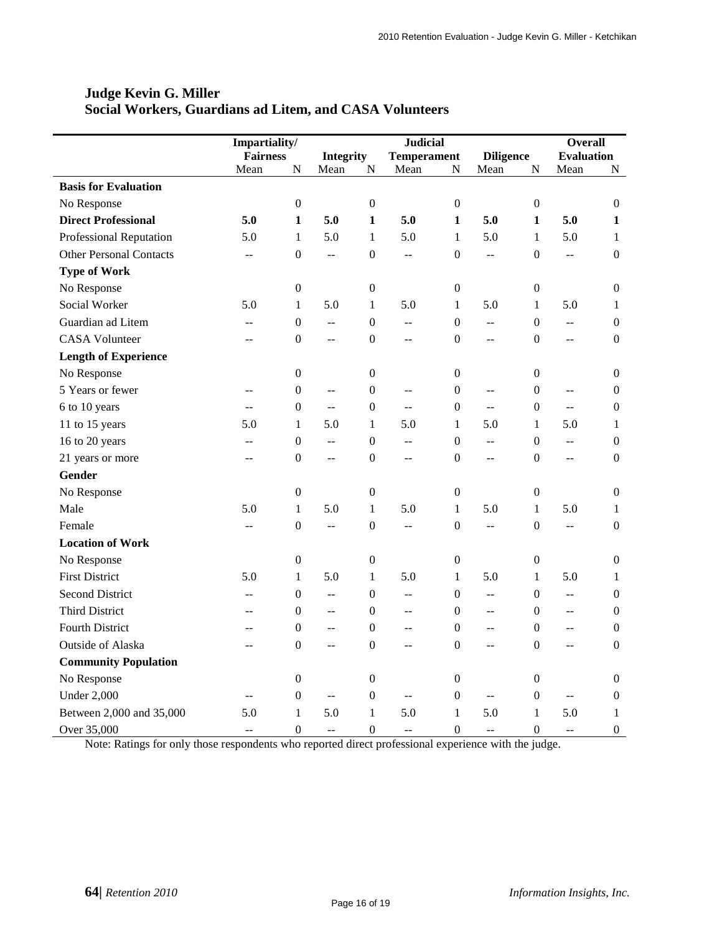|                                | Impartiality/   |                  |                          | <b>Judicial</b>  | <b>Overall</b>           |                  |                          |                  |                           |                  |
|--------------------------------|-----------------|------------------|--------------------------|------------------|--------------------------|------------------|--------------------------|------------------|---------------------------|------------------|
|                                | <b>Fairness</b> |                  | <b>Integrity</b>         |                  | <b>Temperament</b>       |                  | <b>Diligence</b>         |                  | <b>Evaluation</b>         |                  |
|                                | Mean            | N                | Mean                     | $\mathbf N$      | Mean                     | N                | Mean                     | $\mathbf N$      | Mean                      | N                |
| <b>Basis for Evaluation</b>    |                 |                  |                          |                  |                          |                  |                          |                  |                           |                  |
| No Response                    |                 | $\mathbf{0}$     |                          | $\overline{0}$   |                          | $\boldsymbol{0}$ |                          | $\mathbf{0}$     |                           | $\mathbf{0}$     |
| <b>Direct Professional</b>     | 5.0             | $\mathbf{1}$     | 5.0                      | $\mathbf{1}$     | 5.0                      | 1                | 5.0                      | 1                | 5.0                       | 1                |
| <b>Professional Reputation</b> | 5.0             | $\mathbf{1}$     | 5.0                      | $\mathbf{1}$     | 5.0                      | $\mathbf{1}$     | 5.0                      | $\mathbf{1}$     | 5.0                       | 1                |
| <b>Other Personal Contacts</b> | $\overline{a}$  | $\boldsymbol{0}$ | ц.,                      | $\theta$         | $\mathbf{u}$             | $\theta$         | $\overline{a}$           | $\theta$         | $\overline{a}$            | $\boldsymbol{0}$ |
| <b>Type of Work</b>            |                 |                  |                          |                  |                          |                  |                          |                  |                           |                  |
| No Response                    |                 | $\boldsymbol{0}$ |                          | $\boldsymbol{0}$ |                          | $\boldsymbol{0}$ |                          | $\boldsymbol{0}$ |                           | $\boldsymbol{0}$ |
| Social Worker                  | 5.0             | $\mathbf{1}$     | 5.0                      | $\mathbf{1}$     | 5.0                      | $\mathbf{1}$     | 5.0                      | $\mathbf{1}$     | 5.0                       | $\mathbf{1}$     |
| Guardian ad Litem              | $-$             | $\boldsymbol{0}$ | $\overline{\phantom{a}}$ | $\boldsymbol{0}$ | $\overline{a}$           | $\boldsymbol{0}$ | $\overline{a}$           | $\mathbf{0}$     | ΞĒ,                       | $\boldsymbol{0}$ |
| <b>CASA Volunteer</b>          | --              | $\boldsymbol{0}$ | $-$                      | $\boldsymbol{0}$ | $\overline{a}$           | $\mathbf{0}$     | $\overline{\phantom{a}}$ | $\boldsymbol{0}$ | --                        | $\boldsymbol{0}$ |
| <b>Length of Experience</b>    |                 |                  |                          |                  |                          |                  |                          |                  |                           |                  |
| No Response                    |                 | $\boldsymbol{0}$ |                          | $\boldsymbol{0}$ |                          | $\boldsymbol{0}$ |                          | $\boldsymbol{0}$ |                           | $\boldsymbol{0}$ |
| 5 Years or fewer               | $\overline{a}$  | $\boldsymbol{0}$ | $\overline{\phantom{a}}$ | $\overline{0}$   | $\mathbf{u}$             | $\overline{0}$   | $\mathbf{u}$             | $\overline{0}$   | $\overline{a}$            | $\boldsymbol{0}$ |
| 6 to 10 years                  | $\overline{a}$  | $\boldsymbol{0}$ | $\overline{a}$           | $\overline{0}$   | $\overline{a}$           | $\overline{0}$   | $\overline{a}$           | $\mathbf{0}$     | $\overline{a}$            | $\mathbf{0}$     |
| 11 to 15 years                 | 5.0             | $\mathbf{1}$     | 5.0                      | $\mathbf{1}$     | 5.0                      | $\mathbf{1}$     | 5.0                      | $\mathbf{1}$     | 5.0                       | 1                |
| 16 to 20 years                 | --              | $\boldsymbol{0}$ | $-$                      | $\theta$         | --                       | $\boldsymbol{0}$ | $-$                      | $\theta$         | $\mathbb{L}^{\mathbb{L}}$ | $\boldsymbol{0}$ |
| 21 years or more               | $-$             | $\boldsymbol{0}$ | $-$                      | $\boldsymbol{0}$ | $-$                      | $\boldsymbol{0}$ | $\overline{a}$           | $\boldsymbol{0}$ | $-$                       | $\boldsymbol{0}$ |
| <b>Gender</b>                  |                 |                  |                          |                  |                          |                  |                          |                  |                           |                  |
| No Response                    |                 | $\boldsymbol{0}$ |                          | $\boldsymbol{0}$ |                          | $\boldsymbol{0}$ |                          | $\boldsymbol{0}$ |                           | $\boldsymbol{0}$ |
| Male                           | 5.0             | $\mathbf{1}$     | 5.0                      | $\mathbf{1}$     | 5.0                      | $\mathbf{1}$     | 5.0                      | $\mathbf{1}$     | 5.0                       | $\mathbf{1}$     |
| Female                         | $\overline{a}$  | $\boldsymbol{0}$ | $\overline{\phantom{a}}$ | $\boldsymbol{0}$ | $\mathbf{u}$             | $\boldsymbol{0}$ | $\overline{a}$           | $\boldsymbol{0}$ | ΞĒ,                       | $\boldsymbol{0}$ |
| <b>Location of Work</b>        |                 |                  |                          |                  |                          |                  |                          |                  |                           |                  |
| No Response                    |                 | $\boldsymbol{0}$ |                          | $\boldsymbol{0}$ |                          | $\boldsymbol{0}$ |                          | $\boldsymbol{0}$ |                           | $\boldsymbol{0}$ |
| <b>First District</b>          | 5.0             | $\mathbf{1}$     | 5.0                      | $\mathbf{1}$     | 5.0                      | 1                | 5.0                      | $\mathbf{1}$     | 5.0                       | 1                |
| <b>Second District</b>         | $\overline{a}$  | $\boldsymbol{0}$ | $-$                      | $\theta$         | $\mathbf{u}$             | $\mathbf{0}$     | $\mathbf{L}$             | $\Omega$         | $\overline{a}$            | $\mathbf{0}$     |
| <b>Third District</b>          | $\overline{a}$  | $\boldsymbol{0}$ | $-$                      | $\theta$         | $-$                      | $\mathbf{0}$     | $\overline{a}$           | $\Omega$         | $\overline{a}$            | $\mathbf{0}$     |
| <b>Fourth District</b>         |                 | $\boldsymbol{0}$ | $-$                      | $\Omega$         | $\overline{a}$           | $\mathbf{0}$     | $-$                      | $\Omega$         | $\overline{a}$            | $\mathbf{0}$     |
| Outside of Alaska              |                 | $\boldsymbol{0}$ | $-$                      | $\boldsymbol{0}$ | --                       | $\mathbf{0}$     | $-$                      | $\overline{0}$   | --                        | $\boldsymbol{0}$ |
| <b>Community Population</b>    |                 |                  |                          |                  |                          |                  |                          |                  |                           |                  |
| No Response                    |                 | $\boldsymbol{0}$ |                          | $\boldsymbol{0}$ |                          | $\boldsymbol{0}$ |                          | $\boldsymbol{0}$ |                           | $\boldsymbol{0}$ |
| <b>Under 2,000</b>             | $-$             | $\boldsymbol{0}$ | $-$                      | $\boldsymbol{0}$ | --                       | $\boldsymbol{0}$ | $\overline{\phantom{a}}$ | $\boldsymbol{0}$ | --                        | $\boldsymbol{0}$ |
| Between 2,000 and 35,000       | 5.0             | $\mathbf{1}$     | 5.0                      | $\mathbf{1}$     | 5.0                      | $\mathbf{1}$     | 5.0                      | $\mathbf{1}$     | 5.0                       | $\mathbf{1}$     |
| Over 35,000                    | $\overline{a}$  | $\boldsymbol{0}$ | $\overline{\phantom{m}}$ | $\boldsymbol{0}$ | $\overline{\phantom{m}}$ | $\boldsymbol{0}$ | $\overline{\phantom{a}}$ | $\boldsymbol{0}$ | $-$                       | $\boldsymbol{0}$ |

### **Judge Kevin G. Miller Social Workers, Guardians ad Litem, and CASA Volunteers**

Note: Ratings for only those respondents who reported direct professional experience with the judge.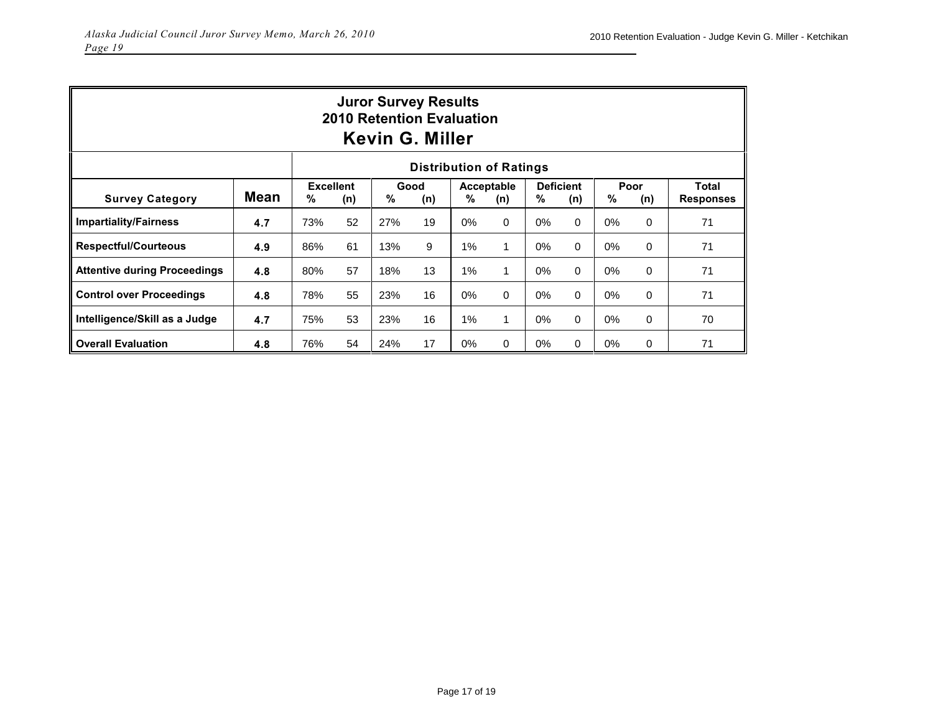| <b>Juror Survey Results</b><br><b>2010 Retention Evaluation</b><br><b>Kevin G. Miller</b> |             |     |                                                                                                                                    |     |    |       |              |       |          |    |   |                  |
|-------------------------------------------------------------------------------------------|-------------|-----|------------------------------------------------------------------------------------------------------------------------------------|-----|----|-------|--------------|-------|----------|----|---|------------------|
| <b>Distribution of Ratings</b>                                                            |             |     |                                                                                                                                    |     |    |       |              |       |          |    |   |                  |
| <b>Survey Category</b>                                                                    | <b>Mean</b> | %   | <b>Excellent</b><br><b>Deficient</b><br>Poor<br>Total<br>Good<br>Acceptable<br>%<br>%<br>%<br>%<br>(n)<br>(n)<br>(n)<br>(n)<br>(n) |     |    |       |              |       |          |    |   | <b>Responses</b> |
| <b>Impartiality/Fairness</b>                                                              | 4.7         | 73% | 52                                                                                                                                 | 27% | 19 | $0\%$ | $\mathbf 0$  | 0%    | 0        | 0% | 0 | 71               |
| <b>Respectful/Courteous</b>                                                               | 4.9         | 86% | 61                                                                                                                                 | 13% | 9  | 1%    | $\mathbf{1}$ | $0\%$ | 0        | 0% | 0 | 71               |
| <b>Attentive during Proceedings</b>                                                       | 4.8         | 80% | 57                                                                                                                                 | 18% | 13 | 1%    | $\mathbf{1}$ | $0\%$ | $\Omega$ | 0% | 0 | 71               |
| <b>Control over Proceedings</b>                                                           | 4.8         | 78% | 55                                                                                                                                 | 23% | 16 | 0%    | 0            | 0%    | 0        | 0% | 0 | 71               |
| Intelligence/Skill as a Judge                                                             | 4.7         | 75% | 53                                                                                                                                 | 23% | 16 | 1%    | 1            | $0\%$ | 0        | 0% | 0 | 70               |
| <b>Overall Evaluation</b>                                                                 | 4.8         | 76% | 54                                                                                                                                 | 24% | 17 | $0\%$ | 0            | $0\%$ | 0        | 0% | 0 | 71               |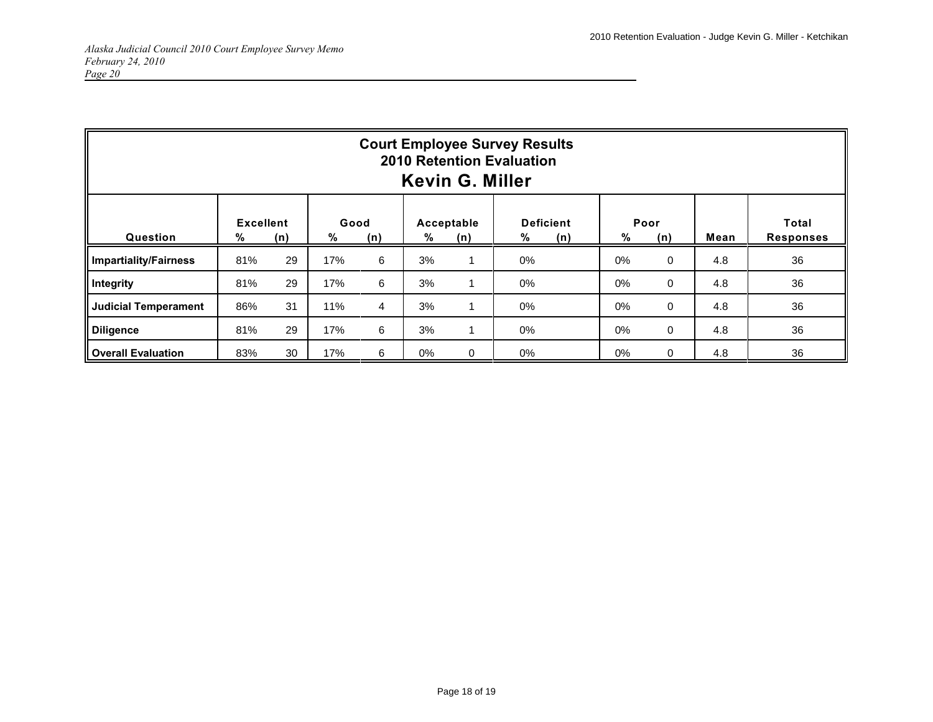| <b>Court Employee Survey Results</b><br><b>2010 Retention Evaluation</b><br><b>Kevin G. Miller</b> |                       |     |           |                |    |                   |       |                         |       |             |      |                           |
|----------------------------------------------------------------------------------------------------|-----------------------|-----|-----------|----------------|----|-------------------|-------|-------------------------|-------|-------------|------|---------------------------|
| Question                                                                                           | <b>Excellent</b><br>% | (n) | Good<br>% | (n)            | %  | Acceptable<br>(n) | %     | <b>Deficient</b><br>(n) | %     | Poor<br>(n) | Mean | Total<br><b>Responses</b> |
| <b>Impartiality/Fairness</b>                                                                       | 81%                   | 29  | 17%       | 6              | 3% |                   | 0%    |                         | 0%    | $\mathbf 0$ | 4.8  | 36                        |
| Integrity                                                                                          | 81%                   | 29  | 17%       | 6              | 3% |                   | 0%    |                         | 0%    | $\mathbf 0$ | 4.8  | 36                        |
| <b>Judicial Temperament</b>                                                                        | 86%                   | 31  | 11%       | $\overline{4}$ | 3% |                   | 0%    |                         | 0%    | $\mathbf 0$ | 4.8  | 36                        |
| <b>Diligence</b>                                                                                   | 81%                   | 29  | 17%       | 6              | 3% |                   | $0\%$ |                         | 0%    | $\mathbf 0$ | 4.8  | 36                        |
| <b>Overall Evaluation</b>                                                                          | 83%                   | 30  | 17%       | 6              | 0% | $\Omega$          | 0%    |                         | $0\%$ | $\Omega$    | 4.8  | 36                        |